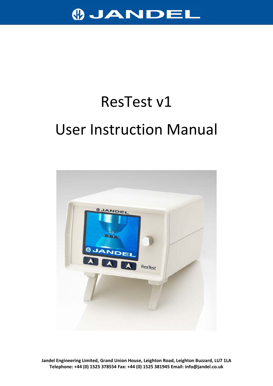

# ResTest v1 User Instruction Manual

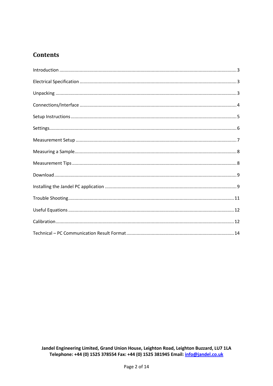## **Contents**

| $\textbf{Setting}.\textcolor{red}{\textbf{}}\textcolor{red}{\textbf{}}\textcolor{red}{\textbf{}}\textcolor{red}{\textbf{}}\textcolor{red}{\textbf{}}\textcolor{red}{\textbf{}}\textcolor{red}{\textbf{}}\textcolor{red}{\textbf{}}\textcolor{red}{\textbf{}}\textcolor{red}{\textbf{}}\textcolor{red}{\textbf{}}\textcolor{red}{\textbf{}}\textcolor{red}{\textbf{}}\textcolor{red}{\textbf{}}\textcolor{red}{\textbf{}}\textcolor{red}{\textbf{}}\textcolor{red}{\textbf{}}\textcolor{red}{\textbf{$ |
|-------------------------------------------------------------------------------------------------------------------------------------------------------------------------------------------------------------------------------------------------------------------------------------------------------------------------------------------------------------------------------------------------------------------------------------------------------------------------------------------------------|
|                                                                                                                                                                                                                                                                                                                                                                                                                                                                                                       |
|                                                                                                                                                                                                                                                                                                                                                                                                                                                                                                       |
|                                                                                                                                                                                                                                                                                                                                                                                                                                                                                                       |
|                                                                                                                                                                                                                                                                                                                                                                                                                                                                                                       |
|                                                                                                                                                                                                                                                                                                                                                                                                                                                                                                       |
|                                                                                                                                                                                                                                                                                                                                                                                                                                                                                                       |
|                                                                                                                                                                                                                                                                                                                                                                                                                                                                                                       |
|                                                                                                                                                                                                                                                                                                                                                                                                                                                                                                       |
|                                                                                                                                                                                                                                                                                                                                                                                                                                                                                                       |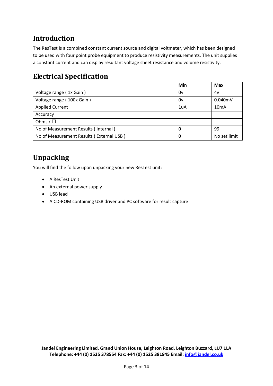# <span id="page-2-0"></span>**Introduction**

The ResTest is a combined constant current source and digital voltmeter, which has been designed to be used with four point probe equipment to produce resistivity measurements. The unit supplies a constant current and can display resultant voltage sheet resistance and volume resistivity.

# <span id="page-2-1"></span>**Electrical Specification**

|                                          | Min | <b>Max</b>        |
|------------------------------------------|-----|-------------------|
| Voltage range (1x Gain)                  | 0v  | 4v                |
| Voltage range (100x Gain)                | 0v  | 0.040mV           |
| <b>Applied Current</b>                   | 1uA | 10 <sub>m</sub> A |
| Accuracy                                 |     |                   |
| Ohms / $\square$                         |     |                   |
| No of Measurement Results (Internal)     | 0   | 99                |
| No of Measurement Results (External USB) | 0   | No set limit      |

# <span id="page-2-2"></span>**Unpacking**

You will find the follow upon unpacking your new ResTest unit:

- A ResTest Unit
- An external power supply
- USB lead
- A CD-ROM containing USB driver and PC software for result capture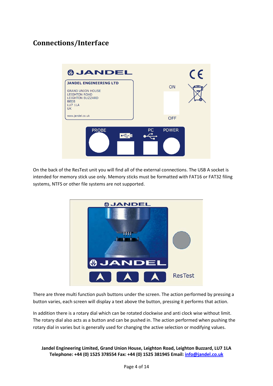# <span id="page-3-0"></span>**Connections/Interface**



On the back of the ResTest unit you will find all of the external connections. The USB A socket is intended for memory stick use only. Memory sticks must be formatted with FAT16 or FAT32 filing systems, NTFS or other file systems are not supported.



There are three multi function push buttons under the screen. The action performed by pressing a button varies, each screen will display a text above the button, pressing it performs that action.

In addition there is a rotary dial which can be rotated clockwise and anti clock wise without limit. The rotary dial also acts as a button and can be pushed in. The action performed when pushing the rotary dial in varies but is generally used for changing the active selection or modifying values.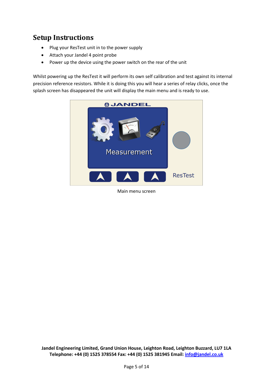## <span id="page-4-0"></span>**Setup Instructions**

- Plug your ResTest unit in to the power supply
- Attach your Jandel 4 point probe
- Power up the device using the power switch on the rear of the unit

Whilst powering up the ResTest it will perform its own self calibration and test against its internal precision reference resistors. While it is doing this you will hear a series of relay clicks, once the splash screen has disappeared the unit will display the main menu and is ready to use.



Main menu screen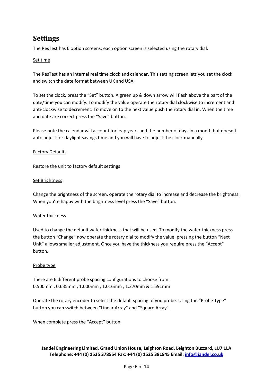# <span id="page-5-0"></span>**Settings**

The ResTest has 6 option screens; each option screen is selected using the rotary dial.

## Set time

The ResTest has an internal real time clock and calendar. This setting screen lets you set the clock and switch the date format between UK and USA.

To set the clock, press the "Set" button. A green up & down arrow will flash above the part of the date/time you can modify. To modify the value operate the rotary dial clockwise to increment and anti-clockwise to decrement. To move on to the next value push the rotary dial in. When the time and date are correct press the "Save" button.

Please note the calendar will account for leap years and the number of days in a month but doesn't auto adjust for daylight savings time and you will have to adjust the clock manually.

## Factory Defaults

Restore the unit to factory default settings

## Set Brightness

Change the brightness of the screen, operate the rotary dial to increase and decrease the brightness. When you're happy with the brightness level press the "Save" button.

## Wafer thickness

Used to change the default wafer thickness that will be used. To modify the wafer thickness press the button "Change" now operate the rotary dial to modify the value, pressing the button "Next Unit" allows smaller adjustment. Once you have the thickness you require press the "Accept" button.

## Probe type

There are 6 different probe spacing configurations to choose from: 0.500mm , 0.635mm , 1.000mm , 1.016mm , 1.270mm & 1.591mm

Operate the rotary encoder to select the default spacing of you probe. Using the "Probe Type" button you can switch between "Linear Array" and "Square Array".

When complete press the "Accept" button.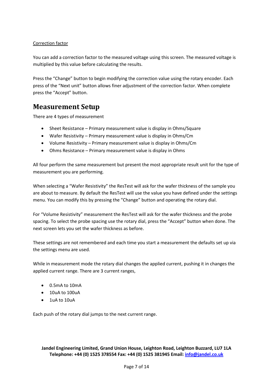## Correction factor

You can add a correction factor to the measured voltage using this screen. The measured voltage is multiplied by this value before calculating the results.

Press the "Change" button to begin modifying the correction value using the rotary encoder. Each press of the "Next unit" button allows finer adjustment of the correction factor. When complete press the "Accept" button.

## <span id="page-6-0"></span>**Measurement Setup**

There are 4 types of measurement

- Sheet Resistance Primary measurement value is display in Ohms/Square
- Wafer Resistivity Primary measurement value is display in Ohms/Cm
- Volume Resistivity Primary measurement value is display in Ohms/Cm
- Ohms Resistance Primary measurement value is display in Ohms

All four perform the same measurement but present the most appropriate result unit for the type of measurement you are performing.

When selecting a "Wafer Resistivity" the ResTest will ask for the wafer thickness of the sample you are about to measure. By default the ResTest will use the value you have defined under the settings menu. You can modify this by pressing the "Change" button and operating the rotary dial.

For "Volume Resistivity" measurement the ResTest will ask for the wafer thickness and the probe spacing. To select the probe spacing use the rotary dial, press the "Accept" button when done. The next screen lets you set the wafer thickness as before.

These settings are not remembered and each time you start a measurement the defaults set up via the settings menu are used.

While in measurement mode the rotary dial changes the applied current, pushing it in changes the applied current range. There are 3 current ranges,

- 0.5mA to 10mA
- 10uA to 100uA
- $\bullet$  1uA to 10uA

Each push of the rotary dial jumps to the next current range.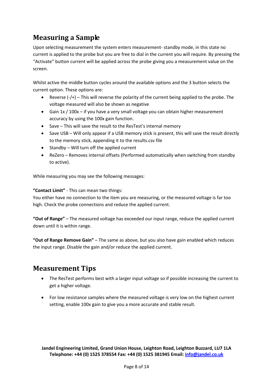# <span id="page-7-0"></span>**Measuring a Sample**

Upon selecting measurement the system enters measurement- standby mode, in this state no current is applied to the probe but you are free to dial in the current you will require. By pressing the "Activate" button current will be applied across the probe giving you a measurement value on the screen.

Whilst active the middle button cycles around the available options and the 3 button selects the current option. These options are:

- Reverse (-/+) This will reverse the polarity of the current being applied to the probe. The voltage measured will also be shown as negative
- Gain 1x / 100x if you have a very small voltage you can obtain higher measurement accuracy by using the 100x gain function.
- Save This will save the result to the ResTest's internal memory
- Save USB Will only appear if a USB memory stick is present, this will save the result directly to the memory stick, appending it to the results.csv file
- Standby Will turn off the applied current
- ReZero Removes internal offsets (Performed automatically when switching from standby to active).

While measuring you may see the following messages:

#### **"Contact Limit"** - This can mean two things:

You either have no connection to the item you are measuring, or the measured voltage is far too high. Check the probe connections and reduce the applied current.

**"Out of Range"** – The measured voltage has exceeded our input range, reduce the applied current down until it is within range.

**"Out of Range Remove Gain"** – The same as above, but you also have gain enabled which reduces the input range. Disable the gain and/or reduce the applied current.

## <span id="page-7-1"></span>**Measurement Tips**

- The ResTest performs best with a larger input voltage so if possible increasing the current to get a higher voltage.
- For low resistance samples where the measured voltage is very low on the highest current setting, enable 100x gain to give you a more accurate and stable result.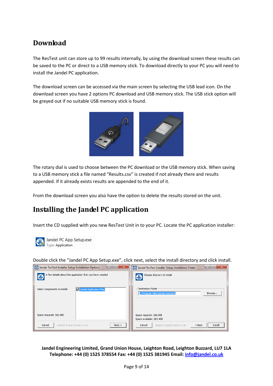# <span id="page-8-0"></span>**Download**

The ResTest unit can store up to 99 results internally, by using the download screen these results can be saved to the PC or direct to a USB memory stick. To download directly to your PC you will need to install the Jandel PC application.

The download screen can be accessed via the main screen by selecting the USB lead icon. On the download screen you have 2 options PC download and USB memory stick. The USB stick option will be greyed out if no suitable USB memory stick is found.



The rotary dial is used to choose between the PC download or the USB memory stick. When saving to a USB memory stick a file named "Results.csv" is created if not already there and results appended. If it already exists results are appended to the end of it.

From the download screen you also have the option to delete the results stored on the unit.

# <span id="page-8-1"></span>**Installing the Jandel PC application**

Insert the CD supplied with you new ResTest Unit in to your PC. Locate the PC application installer:



Jandel PC App Setup.exe **Type: Application** 

Double click the "Jandel PC App Setup.exe", click next, select the install directory and click install.

| x<br>Jandel ResTest Installer Setup: Installation Options<br>$\Box$ | x<br><b>(B)</b> Jandel ResTest Installer Setup: Installation Folder<br>$\Box$ |  |
|---------------------------------------------------------------------|-------------------------------------------------------------------------------|--|
| A few details about the application that you have created           | Choose directory to install<br>⊕                                              |  |
| Jandel Application Files<br>Select components to install:           | Destination Folder<br>C: \Program Files\Jandel ResTest\<br>Browse             |  |
| Space required: 166.0KB                                             | Space required: 166.0KB<br>Space available: 263.4GB                           |  |
| Cancel<br>Next<br>Nullsoft Install System v2.46                     | Install<br>$Back$<br>Cancel<br>Nullsoft Install System v2.46                  |  |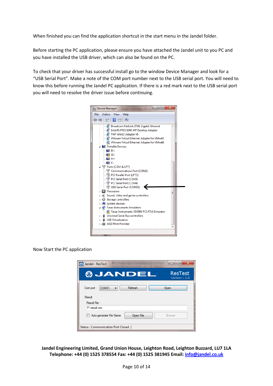When finished you can find the application shortcut in the start menu in the Jandel folder.

Before starting the PC application, please ensure you have attached the Jandel unit to you PC and you have installed the USB driver, which can also be found on the PC.

To check that your driver has successful install go to the window Device Manager and look for a "USB Serial Port". Make a note of the COM port number next to the USB serial port. You will need to know this before running the Jandel PC application. If there is a red mark next to the USB serial port you will need to resolve the driver issue before continuing.



Now Start the PC application

| Jandel - ResTest                     | $\mathbf x$<br>i m             |
|--------------------------------------|--------------------------------|
| <b>OJANDEL</b>                       | <b>ResTest</b><br>Version: 1.0 |
| Refresh<br>Comport:<br>COM31<br>▼    | Open                           |
| Result<br>Result File :              |                                |
| P:\result.csv                        |                                |
| Open File<br>Auto-generate File Name | <b>Browse</b>                  |
| Status: Communication Port Closed    |                                |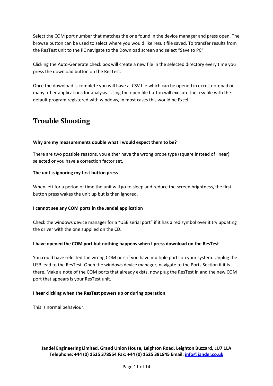Select the COM port number that matches the one found in the device manager and press open. The browse button can be used to select where you would like result file saved. To transfer results from the ResTest unit to the PC navigate to the Download screen and select "Save to PC"

Clicking the Auto-Generate check box will create a new file in the selected directory every time you press the download button on the ResTest.

Once the download is complete you will have a .CSV file which can be opened in excel, notepad or many other applications for analysis. Using the open file button will execute the .csv file with the default program registered with windows, in most cases this would be Excel.

## <span id="page-10-0"></span>**Trouble Shooting**

#### **Why are my measurements double what I would expect them to be?**

There are two possible reasons, you either have the wrong probe type (square instead of linear) selected or you have a correction factor set.

#### **The unit is ignoring my first button press**

When left for a period of time the unit will go to sleep and reduce the screen brightness, the first button press wakes the unit up but is then ignored.

#### **I cannot see any COM ports in the Jandel application**

Check the windows device manager for a "USB serial port" if it has a red symbol over it try updating the driver with the one supplied on the CD.

#### **I have opened the COM port but nothing happens when I press download on the ResTest**

You could have selected the wrong COM port if you have multiple ports on your system. Unplug the USB lead to the ResTest. Open the windows device manager, navigate to the Ports Section if it is there. Make a note of the COM ports that already exists, now plug the ResTest in and the new COM port that appears is your ResTest unit.

#### **I hear clicking when the ResTest powers up or during operation**

This is normal behaviour.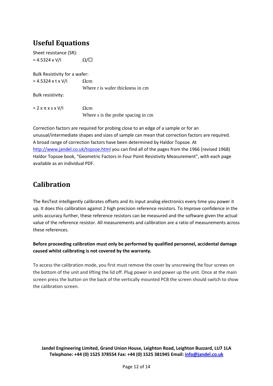# <span id="page-11-0"></span>**Useful Equations**

Sheet resistance (SR):  $= 4.5324 \times V/I$   $\Omega/\square$ 

Bulk Resistivity for a wafer:

 $= 4.5324 \times t \times V/I$   $\Omega$ cm Where *t* is wafer thickness in cm

Bulk resistivity:

 $= 2 \times \pi \times s \times V/I$  Ωcm Where *s* is the probe spacing in cm

Correction factors are required for probing close to an edge of a sample or for an unusual/intermediate shapes and sizes of sample can mean that correction factors are required. A broad range of correction factors have been determined by Haldor Topsoe. At <http://www.jandel.co.uk/topsoe.html> you can find all of the pages from the 1966 (revised 1968) Haldor Topsoe book, "Geometric Factors in Four Point Resistivity Measurement", with each page available as an individual PDF.

# <span id="page-11-1"></span>**Calibration**

The ResTest intelligently calibrates offsets and its input analog electronics every time you power it up. It does this calibration against 2 high precision reference resistors. To Improve confidence in the units accuracy further, these reference resistors can be measured and the software given the actual value of the reference resistor. All measurements and calibration are a ratio of measurements across these references.

**Before proceeding calibration must only be performed by qualified personnel, accidental damage caused whilst calibrating is not covered by the warranty.**

To access the calibration mode, you first must remove the cover by unscrewing the four screws on the bottom of the unit and lifting the lid off. Plug power in and power up the unit. Once at the main screen press the button on the back of the vertically mounted PCB the screen should switch to show the calibration screen.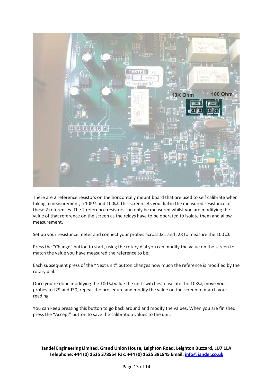

There are 2 reference resistors on the horizontally mount board that are used to self calibrate when taking a measurement, a 10K $\Omega$  and 100 $\Omega$ . This screen lets you dial in the measured resistance of these 2 references. The 2 reference resistors can only be measured whilst you are modifying the value of that reference on the screen as the relays have to be operated to isolate them and allow measurement.

Set up your resistance meter and connect your probes across J21 and J28 to measure the 100  $\Omega$ .

Press the "Change" button to start, using the rotary dial you can modify the value on the screen to match the value you have measured the reference to be.

Each subsequent press of the "Next unit" button changes how much the reference is modified by the rotary dial.

Once you're done modifying the 100  $\Omega$  value the unit switches to isolate the 10K $\Omega$ , move your probes to J29 and J30, repeat the procedure and modify the value on the screen to match your reading.

You can keep pressing this button to go back around and modify the values. When you are finished press the "Accept" button to save the calibration values to the unit.